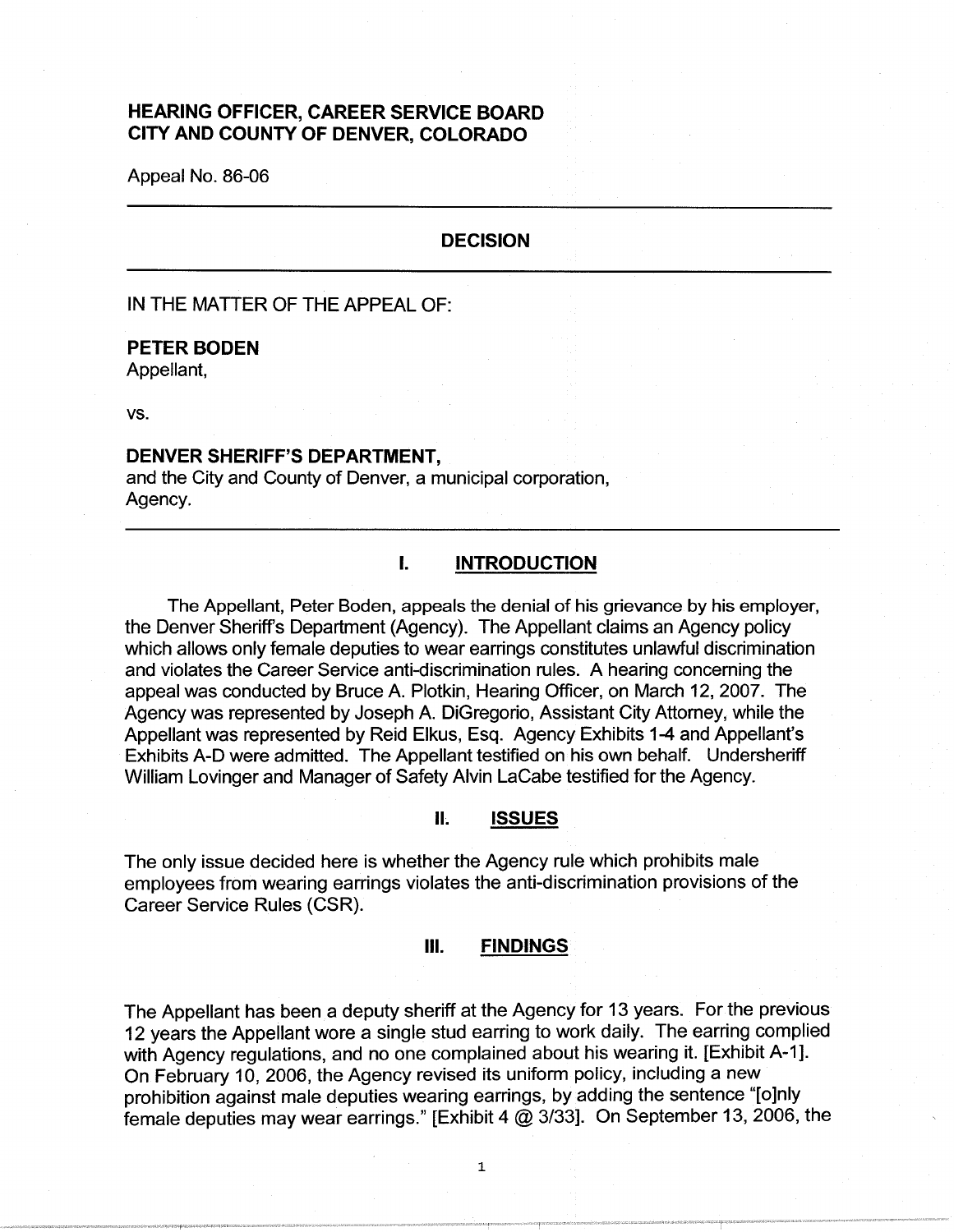# **HEARING OFFICER, CAREER SERVICE BOARD CITY AND COUNTY OF DENVER, COLORADO**

Appeal No. 86-06

## **DECISION**

IN THE MATTER OF THE APPEAL OF:

#### **PETER BODEN**

Appellant,

vs.

### **DENVER SHERIFF'S DEPARTMENT,**

and the City and County of Denver, a municipal corporation, Agency.

# I. **INTRODUCTION**

The Appellant, Peter Boden, appeals the denial of his grievance by his employer, the Denver Sheriff's Department (Agency). The Appellant claims an Agency policy which allows only female deputies to wear earrings constitutes unlawful discrimination and violates the Career Service anti-discrimination rules. A hearing concerning the appeal was conducted by Bruce A. Plotkin, Hearing Officer, on March 12, 2007. The Agency was represented by Joseph A. DiGregorio, Assistant City Attorney, while the Appellant was represented by Reid Elkus, Esq. Agency Exhibits 1-4 and Appellant's Exhibits A-D were admitted. The Appellant testified on his own behalf. Undersheriff William Lovinger and Manager of Safety Alvin LaCabe testified for the Agency.

### **It ISSUES**

The only issue decided here is whether the Agency rule which prohibits male employees from wearing earrings violates the anti-discrimination provisions of the Career Service Rules (CSR).

#### Ill. **FINDINGS**

The Appellant has been a deputy sheriff at the Agency for 13 years. For the previous 12 years the Appellant wore a single stud earring to work daily. The earring complied with Agency regulations, and no one complained about his wearing it. [Exhibit A-1]. On February 10, 2006, the Agency revised its uniform policy, including a new prohibition against male deputies wearing earrings, by adding the sentence "[o]nly female deputies may wear earrings." [Exhibit 4 @ 3/33]. On September 13, 2006, the

1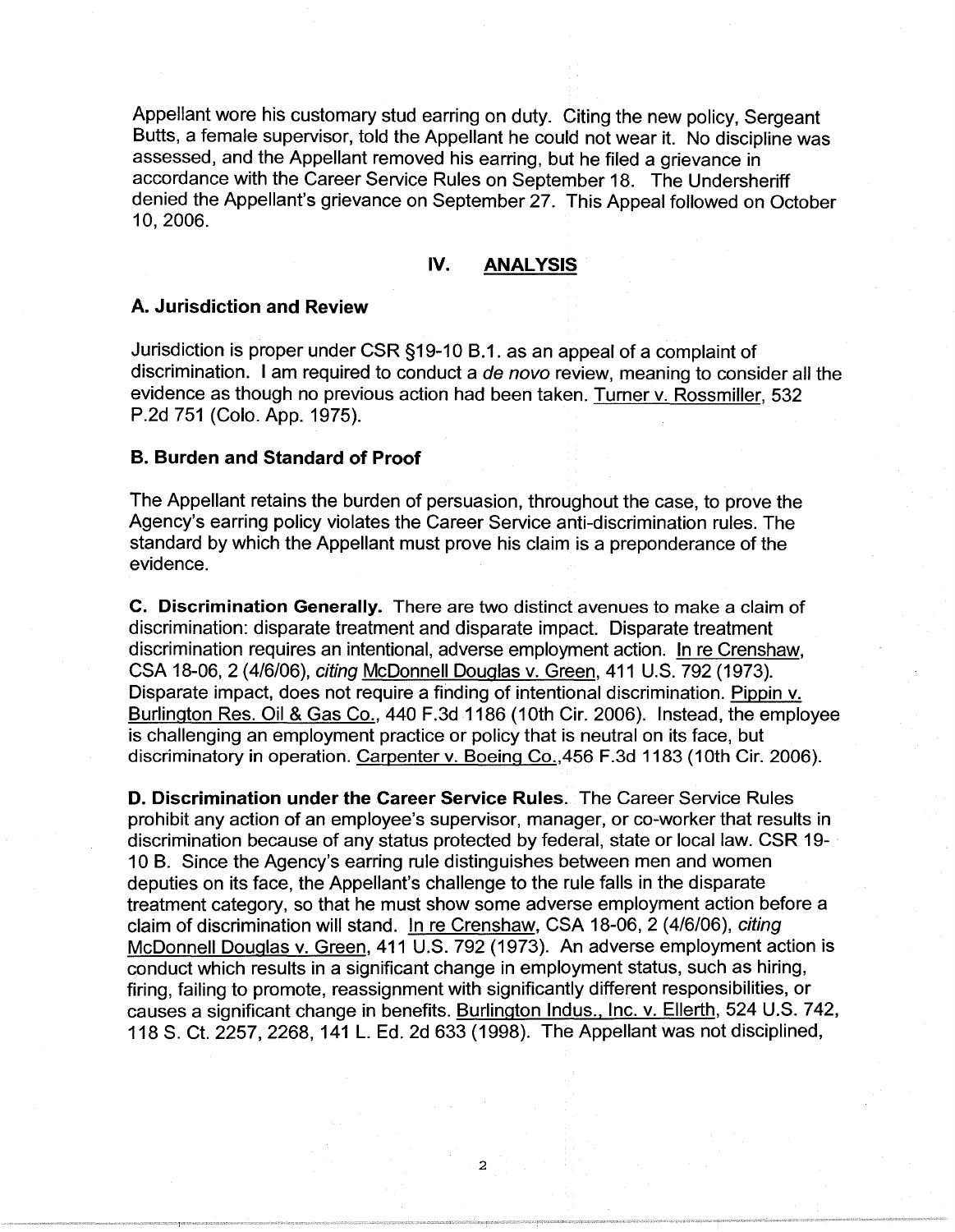Appellant wore his customary stud earring on duty. Citing the new policy, Sergeant Butts, a female supervisor, told the Appellant he could not wear it. No discipline was assessed, and the Appellant removed his earring, but he filed a grievance in accordance with the Career Service Rules on September 18. The Undersheriff denied the Appellant's grievance on September 27. This Appeal followed on October 10, 2006.

# **IV. ANALYSIS**

## **A. Jurisdiction and Review**

Jurisdiction is proper under CSR §19-10 B.1. as an appeal of a complaint of discrimination. I am required to conduct a de novo review, meaning to consider all the evidence as though no previous action had been taken. Turner v. Rossmiller, 532 P.2d 751 (Colo. App. 1975).

### **B. Burden and Standard of Proof**

The Appellant retains the burden of persuasion, throughout the case, to prove the Agency's earring policy violates the Career Service anti-discrimination rules. The standard by which the Appellant must prove his claim is a preponderance of the evidence.

**C. Discrimination Generally.** There are two distinct avenues to make a claim of discrimination: disparate treatment and disparate impact. Disparate treatment discrimination requires an intentional, adverse employment action. In re Crenshaw, CSA 18-06, 2 (4/6/06), citing McDonnell Douglas v. Green, 411 U.S. 792 (1973). Disparate impact, does not require a finding of intentional discrimination. Pippin v. Burlington Res. Oil & Gas Co., 440 F.3d 1186 (10th Cir. 2006). Instead, the employee is challenging an employment practice or policy that is neutral on its face, but discriminatory in operation. Carpenter v. Boeing Co.,456 F.3d 1183 (10th Cir. 2006).

**D. Discrimination under the Career Service Rules.** The Career Service Rules prohibit any action of an employee's supervisor, manager, or co-worker that results in discrimination because of any status protected by federal, state or local law. CSR 19- 10 B. Since the Agency's earring rule distinguishes between men and women deputies on its face, the Appellant's challenge to the rule falls in the disparate treatment category, so that he must show some adverse employment action before a claim of discrimination will stand. In re Crenshaw, CSA 18-06, 2 (4/6/06), citing McDonnell Douglas v. Green, 411 U.S. 792 (1973). An adverse employment action is conduct which results in a significant change in employment status, such as hiring, firing, failing to promote, reassignment with significantly different responsibilities, or causes a significant change in benefits. Burlington Indus., Inc. v. Ellerth, 524 U.S. 742, 118 S. Ct. 2257, 2268, 141 L. Ed. 2d 633 (1998). The Appellant was not disciplined,

2